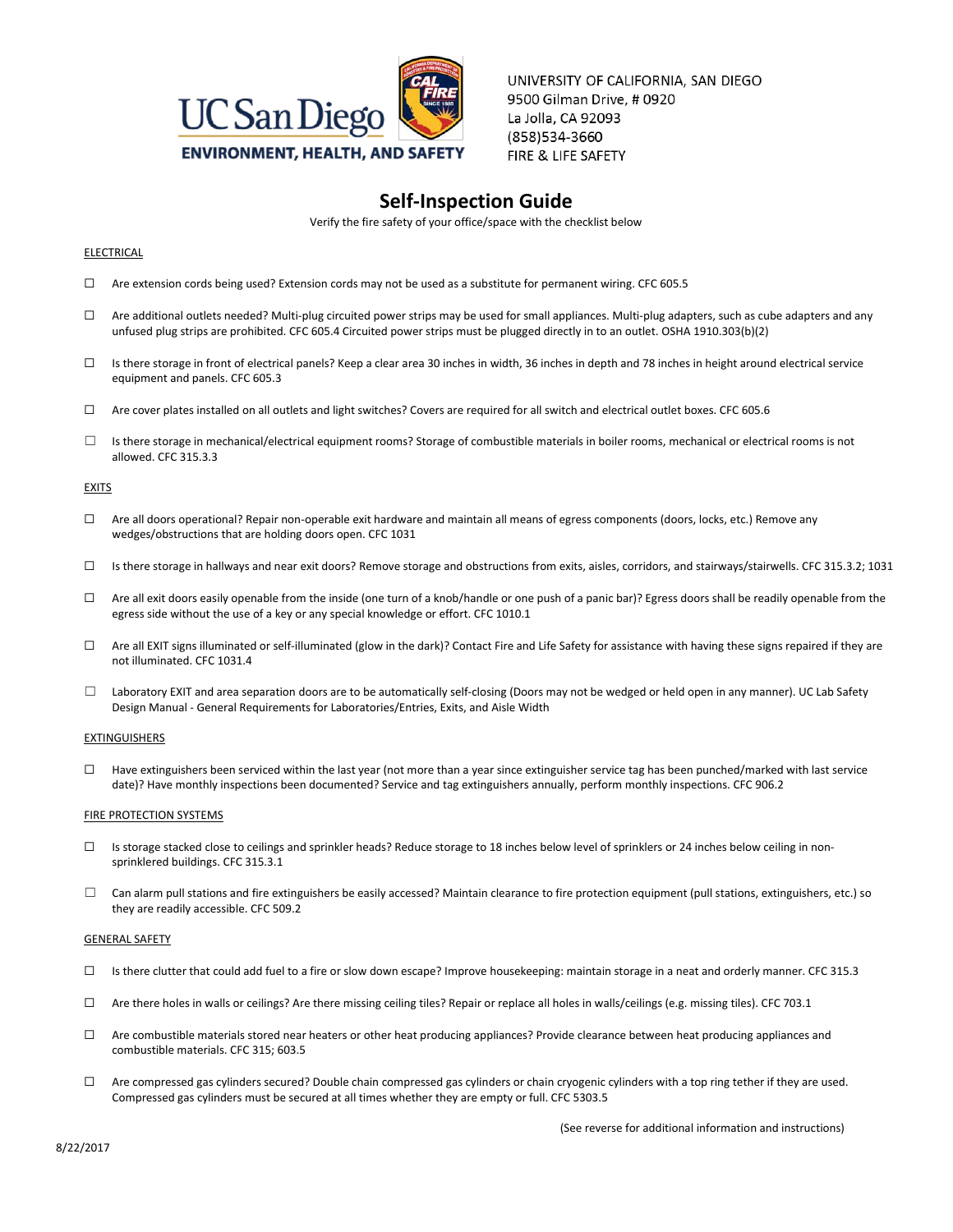

UNIVERSITY OF CALIFORNIA, SAN DIEGO 9500 Gilman Drive, #0920 La Jolla, CA 92093 (858)534-3660 FIRE & LIFE SAFETY

# **Self-Inspection Guide**

Verify the fire safety of your office/space with the checklist below

## ELECTRICAL

- ☐ Are extension cords being used? Extension cords may not be used as a substitute for permanent wiring. CFC 605.5
- ☐ Are additional outlets needed? Multi-plug circuited power strips may be used for small appliances. Multi-plug adapters, such as cube adapters and any unfused plug strips are prohibited. CFC 605.4 Circuited power strips must be plugged directly in to an outlet. OSHA 1910.303(b)(2)
- □ Is there storage in front of electrical panels? Keep a clear area 30 inches in width, 36 inches in depth and 78 inches in height around electrical service equipment and panels. CFC 605.3
- ☐ Are cover plates installed on all outlets and light switches? Covers are required for all switch and electrical outlet boxes. CFC 605.6
- $\Box$  Is there storage in mechanical/electrical equipment rooms? Storage of combustible materials in boiler rooms, mechanical or electrical rooms is not allowed. CFC 315.3.3

## **EXITS**

- ☐ Are all doors operational? Repair non-operable exit hardware and maintain all means of egress components (doors, locks, etc.) Remove any wedges/obstructions that are holding doors open. CFC 1031
- ☐ Is there storage in hallways and near exit doors? Remove storage and obstructions from exits, aisles, corridors, and stairways/stairwells. CFC 315.3.2; 1031
- $\Box$  Are all exit doors easily openable from the inside (one turn of a knob/handle or one push of a panic bar)? Egress doors shall be readily openable from the egress side without the use of a key or any special knowledge or effort. CFC 1010.1
- $\Box$  Are all EXIT signs illuminated or self-illuminated (glow in the dark)? Contact Fire and Life Safety for assistance with having these signs repaired if they are not illuminated. CFC 1031.4
- ☐ Laboratory EXIT and area separation doors are to be automatically self-closing (Doors may not be wedged or held open in any manner). UC Lab Safety Design Manual - General Requirements for Laboratories/Entries, Exits, and Aisle Width

## **EXTINGUISHERS**

☐ Have extinguishers been serviced within the last year (not more than a year since extinguisher service tag has been punched/marked with last service date)? Have monthly inspections been documented? Service and tag extinguishers annually, perform monthly inspections. CFC 906.2

### **FIRE PROTECTION SYSTEMS**

- ☐ Is storage stacked close to ceilings and sprinkler heads? Reduce storage to 18 inches below level of sprinklers or 24 inches below ceiling in nonsprinklered buildings. CFC 315.3.1
- $\Box$  Can alarm pull stations and fire extinguishers be easily accessed? Maintain clearance to fire protection equipment (pull stations, extinguishers, etc.) so they are readily accessible. CFC 509.2

## GENERAL SAFETY

- ☐ Is there clutter that could add fuel to a fire or slow down escape? Improve housekeeping: maintain storage in a neat and orderly manner. CFC 315.3
- $\Box$  Are there holes in walls or ceilings? Are there missing ceiling tiles? Repair or replace all holes in walls/ceilings (e.g. missing tiles). CFC 703.1
- ☐ Are combustible materials stored near heaters or other heat producing appliances? Provide clearance between heat producing appliances and combustible materials. CFC 315; 603.5
- ☐ Are compressed gas cylinders secured? Double chain compressed gas cylinders or chain cryogenic cylinders with a top ring tether if they are used. Compressed gas cylinders must be secured at all times whether they are empty or full. CFC 5303.5